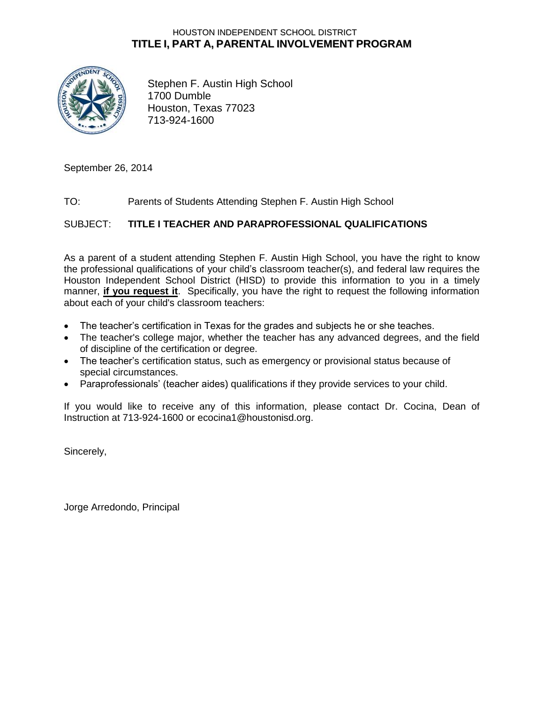### HOUSTON INDEPENDENT SCHOOL DISTRICT **TITLE I, PART A, PARENTAL INVOLVEMENT PROGRAM**



Stephen F. Austin High School 1700 Dumble Houston, Texas 77023 713-924-1600

September 26, 2014

#### TO: Parents of Students Attending Stephen F. Austin High School

SUBJECT: **TITLE I TEACHER AND PARAPROFESSIONAL QUALIFICATIONS**

As a parent of a student attending Stephen F. Austin High School, you have the right to know the professional qualifications of your child's classroom teacher(s), and federal law requires the Houston Independent School District (HISD) to provide this information to you in a timely manner, **if you request it**. Specifically, you have the right to request the following information about each of your child's classroom teachers:

- The teacher's certification in Texas for the grades and subjects he or she teaches.
- The teacher's college major, whether the teacher has any advanced degrees, and the field of discipline of the certification or degree.
- The teacher's certification status, such as emergency or provisional status because of special circumstances.
- Paraprofessionals' (teacher aides) qualifications if they provide services to your child.

If you would like to receive any of this information, please contact Dr. Cocina, Dean of Instruction at 713-924-1600 or ecocina1@houstonisd.org.

Sincerely,

Jorge Arredondo, Principal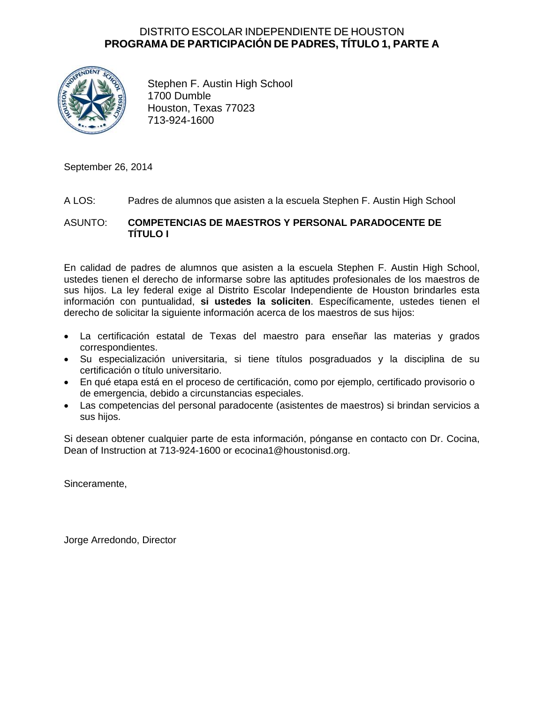### DISTRITO ESCOLAR INDEPENDIENTE DE HOUSTON **PROGRAMA DE PARTICIPACIÓN DE PADRES, TÍTULO 1, PARTE A**



Stephen F. Austin High School 1700 Dumble Houston, Texas 77023 713-924-1600

September 26, 2014

#### A LOS: Padres de alumnos que asisten a la escuela Stephen F. Austin High School

#### ASUNTO: **COMPETENCIAS DE MAESTROS Y PERSONAL PARADOCENTE DE TÍTULO I**

En calidad de padres de alumnos que asisten a la escuela Stephen F. Austin High School, ustedes tienen el derecho de informarse sobre las aptitudes profesionales de los maestros de sus hijos. La ley federal exige al Distrito Escolar Independiente de Houston brindarles esta información con puntualidad, **si ustedes la soliciten**. Específicamente, ustedes tienen el derecho de solicitar la siguiente información acerca de los maestros de sus hijos:

- La certificación estatal de Texas del maestro para enseñar las materias y grados correspondientes.
- Su especialización universitaria, si tiene títulos posgraduados y la disciplina de su certificación o título universitario.
- En qué etapa está en el proceso de certificación, como por ejemplo, certificado provisorio o de emergencia, debido a circunstancias especiales.
- Las competencias del personal paradocente (asistentes de maestros) si brindan servicios a sus hijos.

Si desean obtener cualquier parte de esta información, pónganse en contacto con Dr. Cocina, Dean of Instruction at 713-924-1600 or ecocina1@houstonisd.org.

Sinceramente,

Jorge Arredondo, Director